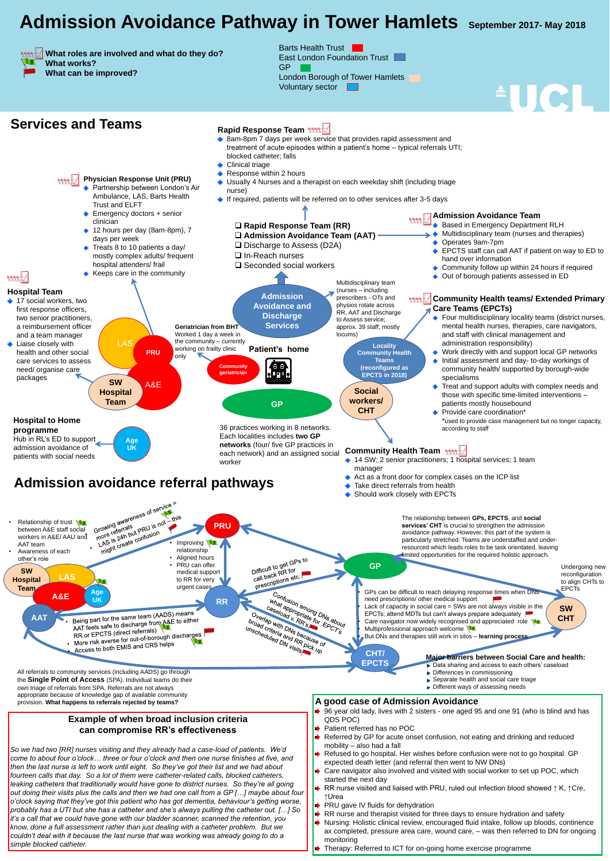## **Admission Avoidance Pathway in Tower Hamlets September 2017- May 2018**

 **What roles are involved and what do they do?** 

 **What works? What can be improved?**

**Community Health** 

**Teams** 

**(reconfigured as** 

**EPCTS in 2018)**

Barts Health Trust East London Foundation Trust GP London Borough of Tower Hamlets Voluntary sector

## **Services and Teams Rapid Response Team**



#### **Rapid Response Team (RR)**

### **Admission avoidance referral pathways**

**GP**

**CHT/** 

**EPCTS**

◆ 14 SW; 2 senior practitioners; 1 hospital services; 1 team manager

**Admission Avoidance Team** Based in Emergency Department RLH

- Multidisciplinary team (nurses and therapies)
- Operates 9am-7pm
- EPCTS staff can call AAT if patient on way to ED to hand over information

- Community follow up within 24 hours if required
- Out of borough patients assessed in ED

**↑ 17 social workers, two** first response officers, two senior practitioners, a reimbursement officer and a team manager • Liaise closely with health and other social care services to assess need/ organise care packages

 **Admission Avoidance Team (AAT)** □ Discharge to Assess (D2A) **□ In-Reach nurses □ Seconded social workers Admission Avoidance and Discharge Services Geriatrician from BHT** Worked 1 day a week in LAS the community – currently<br> **LAS** Locality **Locality** working on frailty clinic **Patient's home PRU only Community geriatrician**  $\nabla$ **SW**  A&E **Hospital Team GP** 36 practices working in 8 networks.

#### **Community Health teams/ Extended Primary Care Teams (EPCTs)**

- ◆ Partnership between London's Air Ambulance, LAS, Barts Health Trust and ELFT
- ◆ Emergency doctors + senior clinician
- 



- ◆ 8am-8pm 7 days per week service that provides rapid assessment and treatment of acute episodes within a patient's home – typical referrals UTI; blocked catheter; falls
- Clinical triage
- Response within 2 hours
- ◆ Usually 4 Nurses and a therapist on each weekday shift (including triage nurse)
- ◆ If required, patients will be referred on to other services after 3-5 days

- Four multidisciplinary locality teams (district nurses, mental health nurses, therapies, care navigators, and staff with clinical management and administration responsibility)
- Work directly with and support local GP networks
- Initial assessment and day- to-day workings of community health/ supported by borough-wide specialisms
- Treat and support adults with complex needs and those with specific time-limited interventions – patients mostly housebound
- Provide care coordination\* \*used to provide case management but no longer capacity, according to staff

#### **Community Health Team**  $\frac{1}{2}$

**SW CHT**

**Social** 

**workers/** 

**CHT**

**So we had two [RR] nurses visiting and they already had a case-load of patients. We'd** *come to about four o'clock… three or four o'clock and then one nurse finishes at five, and then the last nurse is left to work until eight. So they've got their list and we had about fourteen calls that day. So a lot of them were catheter-related calls, blocked catheters, leaking catheters that traditionally would have gone to district nurses. So they're all going*  **| out doing their visits plus the calls and then we had one call from a GP [...] maybe about four** *o'clock saying that they've got this patient who has got dementia, behaviour's getting worse, probably has a UTI but she has a catheter and she's always pulling the catheter out. […] So it's a call that we could have gone with our bladder scanner, scanned the retention, you know, done a full assessment rather than just dealing with a catheter problem. But we*  **couldn't deal with it because the last nurse that was working was already going to do a** *simple blocked catheter.* 

- Act as a front door for complex cases on the ICP list
- Take direct referrals from health

Should work closely with EPCTs

Each localities includes **two GP networks** (four/ five GP practices in each network) and an assigned social

### **Hospital Team**

 $rac{1}{\sqrt{\frac{8888}{10}}}}$ 

**Physician Response Unit (PRU)**

Contusion among  $D_{\text{Ws}}$  about  $\epsilon_{\text{PC}}$ ,  $\epsilon_{\text{PC}}$ ,  $\epsilon_{\text{Ws}}$  about  $\epsilon_{\text{Ws}}$  and  $\epsilon_{\text{Ws}}$  about  $\epsilon_{\text{Ws}}$ . Exercise the difficult to reach delaying response times when DNs need prescriptions/ other medical need prescriptions/ other medical support Lack of capacity in social care  $=$  SWs are not always visible in the EPCTs; attend MDTs but can't always prepare adequately Care navigator now widely recognised and appreciated role Multiprofessional approach welcome • But DNs and therapies still work in silos – **learning process**

- 12 hours per day (8am-8pm), 7 days per week
- Treats 8 to 10 patients a day/ mostly complex adults/ frequent hospital attenders/ frail
- Keeps care in the community

#### **Example of when broad inclusion criteria can compromise RR's effectiveness**

- ♦ 96 year old lady, lives with 2 sisters one aged 95 and one 91 (who is blind and has QDS POC)
- Patient referred has no POC
- Referred by GP for acute onset confusion, not eating and drinking and reduced mobility – also had a fall
- Refused to go hospital. Her wishes before confusion were not to go hospital. GP expected death letter (and referral then went to NW DNs)
- Care navigator also involved and visited with social worker to set up POC, which started the next day
- RR nurse visited and liaised with PRU, ruled out infection blood showed ↑ K, ↑Cre, ↑Urea
- ▶ PRU gave IV fluids for dehydration
- RR nurse and therapist visited for three days to ensure hydration and safety
- ◆ Nursing: Holistic clinical review, encouraged fluid intake, follow up bloods, continence ax completed, pressure area care, wound care, – was then referred to DN for ongoing monitoring
- Therapy: Referred to ICT for on-going home exercise programme

All referrals to community services (including AADS) go through the **Single Point of Access** (SPA). Individual teams do their own triage of referrals from SPA. Referrals are not always appropriate because of knowledge gap of available community provision. **What happens to referrals rejected by teams?**



The relationship between **GPs, EPCTS**, and **social services' CHT** is crucial to strengthen the admission avoidance pathway. However, this part of the system is particularly stretched. Teams are understaffed and underresourced which leads roles to be task orientated, leaving limited opportunities for the required holistic approach.

> Undergoing new reconfiguration to align CHTs to EPCTs

#### **Major barriers between Social Care and health:**

- Data sharing and access to each others' caseload
- Differences in commissioning
- ▶ Separate health and social care triage
- Different ways of assessing needs

between A&E staff social Growing awareness of service<br>between A&E staff social Growing awareness of service Thus is 24h but PRU is not when the property of the contractor of the improving Relationship of trust **WI PRU** Growing<br>the referrals ut PRU is<br>more is 24h but PRU is workers in A&E/ AAU and AAT team relationship • Awareness of each • Aligned hours Difficult to get GPs to other's role • PRU can offer Difficult to get<br>call back RR for<br>call back RR for **SW**  medical support Call back RR Ion<br>prescriptions etc. **LAS Hospital**  to RR for very urgent cases **Team Age A&E UK RR** Overlap with DNs because of Being part for the same team (AADS) means **AAT** Unscheduled DN Visits Pick up Being part for the same team (AADO)<br>AAT feels safe to discharge from A&E to either<br>AAT feels safe to discharge from A&E to either unscheduled DN Visits AAT feels sale to discriming<br>RR or EPCTS (direct referrals) RR or EPCTS (direct referrals)<br>More risk averse for out-of-borough discharges<br>More risk averse for out-of-borough discharges More risk averse for out-of belong<br>Access to both EMIS and CRS helps

#### **A good case of Admission Avoidance**

**Age** 

**UK**

**Hospital to Home** 

**programme**

Hub in RL's ED to support

admission avoidance of

Multidisciplinary team

(nurses – including

prescribers - OTs and

physios rotate across

RR, AAT and Discharge

to Assess service;

approx. 39 staff, mostly

locums)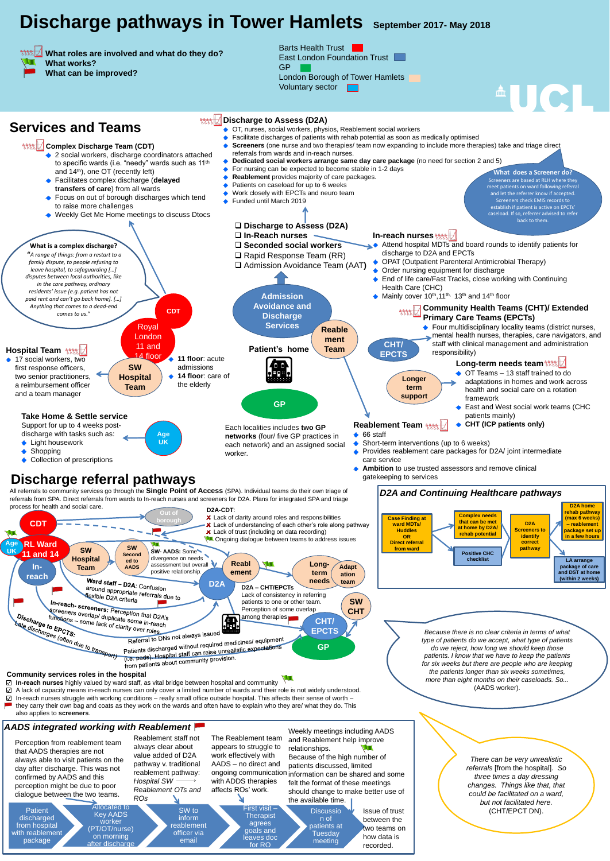# **Discharge pathways in Tower Hamlets** September 2017- May 2018

 **What roles are involved and what do they do?** 

 **What works? What can be improved?** Barts Health Trust East London Foundation Trust GP London Borough of Tower Hamlets Voluntary sector

## **Services and Teams Discharge to Assess (D2A)**<br> **Discharge to Assess (D2A)**<br> **Discharge to Assess (D2A)**

- OT, nurses, social workers, physios, Reablement social workers
- Facilitate discharges of patients with rehab potential as soon as medically optimised
- **Screeners** (one nurse and two therapies/ team now expanding to include more therapies) take and triage direct referrals from wards and in-reach nurses.
- **Dedicated social workers arrange same day care package** (no need for section 2 and 5)
- For nursing can be expected to become stable in 1-2 days
- **Reablement** provides majority of care packages.
- Patients on caseload for up to 6 weeks
- Work closely with EPCTs and neuro team
- Funded until March 2019  $\bullet$

#### **Discharge to Assess (D2A)**

## **Discharge referral pathways**



- 
- **Ambition** to use trusted assessors and remove clinical gatekeeping to services

#### **Complex Discharge Team (CDT)**

- ◆ 2 social workers, discharge coordinators attached to specific wards (i.e. "needy" wards such as 11<sup>th</sup> and 14th), one OT (recently left)
- Facilitates complex discharge (**delayed transfers of care**) from all wards
- ◆ Focus on out of borough discharges which tend to raise more challenges
- ◆ Weekly Get Me Home meetings to discuss Dtocs

All referrals to community services go through the **Single Point of Access** (SPA). Individual teams do their own triage of referrals from SPA. Direct referrals from wards to In-reach nurses and screeners for D2A. Plans for integrated SPA and triage process for health and social care.



from hospital

with reablement

package

#### *AADS integrated working with Reablement*

Allocated to Key AADS worker (PT/OT/nurse) on morning after discharge SW to inform reablement officer via email First visit – **Therapist** agrees goals and leaves doc for RO **Discussio** n of patients at Tuesday meeting The Reablement team appears to struggle to work effectively with AADS – no direct and ongoing communication information can be shared and some with ADDS therapies affects ROs' work. Weekly meetings including AADS and Reablement help improve relationships. Because of the high number of patients discussed, limited felt the format of these meetings should change to make better use of the available time. Issue of trust between the two teams on how data is recorded. Reablement staff not always clear about value added of D2A pathway v. traditional reablement pathway: *Hospital SW Reablement OTs and ROs*

Perception from reablement team that AADS therapies are not always able to visit patients on the day after discharge. This was not confirmed by AADS and this perception might be due to poor dialogue between the two teams.

**Patient** 

**discharged** 



#### **Community services roles in the hospital**

**In-reach nurses** highly valued by ward staff, as vital bridge between hospital and community

A lack of capacity means in-reach nurses can only cover a limited number of wards and their role is not widely understood. In-reach nurses struggle with working conditions – really small office outside hospital. This affects their sense of worth – ☑ they carry their own bag and coats as they work on the wards and often have to explain who they are/ what they do. This also applies to **screeners**.

> *There can be very unrealistic referrals* [from the hospital]*. So three times a day dressing changes. Things like that, that could be facilitated on a ward, but not facilitated here.* (CHT/EPCT DN).

**What does a Screener do?** Screeners are based at RLH where they meet patients on ward following referral and let the referrer know if accepted. Screeners check EMIS records to establish if patient is active on EPCTs' caseload. If so, referrer advised to refer back to them.

**THE REAL**